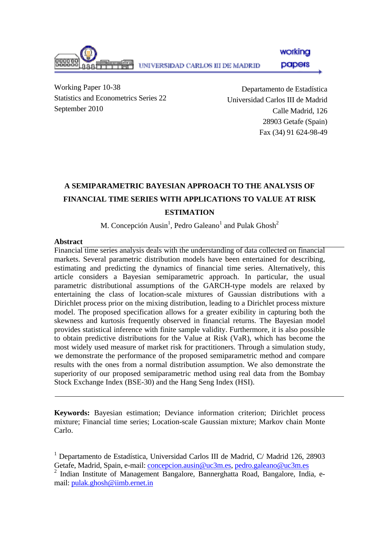

papers

working

Working Paper 10-38 Statistics and Econometrics Series 22 September 2010

Departamento de Estadística Universidad Carlos III de Madrid Calle Madrid, 126 28903 Getafe (Spain) Fax (34) 91 624-98-49

## **A SEMIPARAMETRIC BAYESIAN APPROACH TO THE ANALYSIS OF FINANCIAL TIME SERIES WITH APPLICATIONS TO VALUE AT RISK ESTIMATION**

### M. Concepción Ausin<sup>1</sup>, Pedro Galeano<sup>1</sup> and Pulak Ghosh<sup>2</sup>

#### **Abstract**

Financial time series analysis deals with the understanding of data collected on financial markets. Several parametric distribution models have been entertained for describing, estimating and predicting the dynamics of financial time series. Alternatively, this article considers a Bayesian semiparametric approach. In particular, the usual parametric distributional assumptions of the GARCH-type models are relaxed by entertaining the class of location-scale mixtures of Gaussian distributions with a Dirichlet process prior on the mixing distribution, leading to a Dirichlet process mixture model. The proposed specification allows for a greater exibility in capturing both the skewness and kurtosis frequently observed in financial returns. The Bayesian model provides statistical inference with finite sample validity. Furthermore, it is also possible to obtain predictive distributions for the Value at Risk (VaR), which has become the most widely used measure of market risk for practitioners. Through a simulation study, we demonstrate the performance of the proposed semiparametric method and compare results with the ones from a normal distribution assumption. We also demonstrate the superiority of our proposed semiparametric method using real data from the Bombay Stock Exchange Index (BSE-30) and the Hang Seng Index (HSI).

**Keywords:** Bayesian estimation; Deviance information criterion; Dirichlet process mixture; Financial time series; Location-scale Gaussian mixture; Markov chain Monte Carlo.

<sup>&</sup>lt;sup>1</sup> Departamento de Estadística, Universidad Carlos III de Madrid, C/ Madrid 126, 28903 Getafe, Madrid, Spain, e-mail: [concepcion.ausin@uc3m.es,](mailto:concepcion.ausin@uc3m.es) [pedro.galeano@uc3m.es](mailto:pedro.galeano@uc3m.es) 2

<sup>&</sup>lt;sup>2</sup> Indian Institute of Management Bangalore, Bannerghatta Road, Bangalore, India, email: [pulak.ghosh@iimb.ernet.in](mailto:pulak.ghosh@iimb.ernet.in)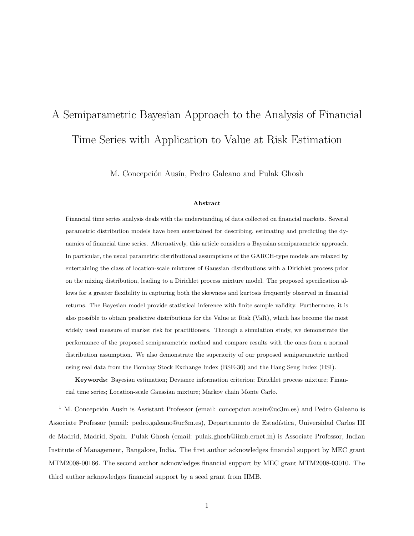# A Semiparametric Bayesian Approach to the Analysis of Financial Time Series with Application to Value at Risk Estimation

M. Concepción Ausín, Pedro Galeano and Pulak Ghosh

#### Abstract

Financial time series analysis deals with the understanding of data collected on financial markets. Several parametric distribution models have been entertained for describing, estimating and predicting the dynamics of financial time series. Alternatively, this article considers a Bayesian semiparametric approach. In particular, the usual parametric distributional assumptions of the GARCH-type models are relaxed by entertaining the class of location-scale mixtures of Gaussian distributions with a Dirichlet process prior on the mixing distribution, leading to a Dirichlet process mixture model. The proposed specification allows for a greater flexibility in capturing both the skewness and kurtosis frequently observed in financial returns. The Bayesian model provide statistical inference with finite sample validity. Furthermore, it is also possible to obtain predictive distributions for the Value at Risk (VaR), which has become the most widely used measure of market risk for practitioners. Through a simulation study, we demonstrate the performance of the proposed semiparametric method and compare results with the ones from a normal distribution assumption. We also demonstrate the superiority of our proposed semiparametric method using real data from the Bombay Stock Exchange Index (BSE-30) and the Hang Seng Index (HSI).

Keywords: Bayesian estimation; Deviance information criterion; Dirichlet process mixture; Financial time series; Location-scale Gaussian mixture; Markov chain Monte Carlo.

<sup>1</sup> M. Concepción Ausín is Assistant Professor (email: concepcion.ausin@uc3m.es) and Pedro Galeano is Associate Professor (email: pedro.galeano@uc3m.es), Departamento de Estadística, Universidad Carlos III de Madrid, Madrid, Spain. Pulak Ghosh (email: pulak.ghosh@iimb.ernet.in) is Associate Professor, Indian Institute of Management, Bangalore, India. The first author acknowledges financial support by MEC grant MTM2008-00166. The second author acknowledges financial support by MEC grant MTM2008-03010. The third author acknowledges financial support by a seed grant from IIMB.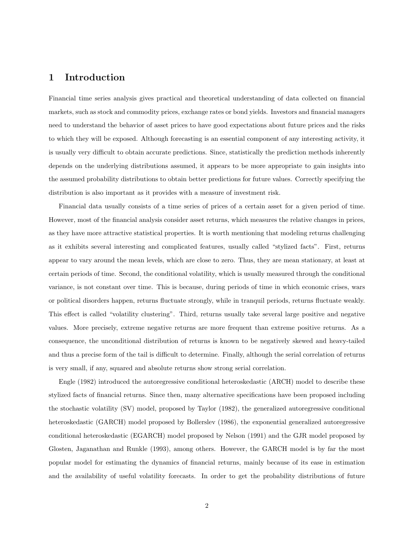#### 1 Introduction

Financial time series analysis gives practical and theoretical understanding of data collected on financial markets, such as stock and commodity prices, exchange rates or bond yields. Investors and financial managers need to understand the behavior of asset prices to have good expectations about future prices and the risks to which they will be exposed. Although forecasting is an essential component of any interesting activity, it is usually very difficult to obtain accurate predictions. Since, statistically the prediction methods inherently depends on the underlying distributions assumed, it appears to be more appropriate to gain insights into the assumed probability distributions to obtain better predictions for future values. Correctly specifying the distribution is also important as it provides with a measure of investment risk.

Financial data usually consists of a time series of prices of a certain asset for a given period of time. However, most of the financial analysis consider asset returns, which measures the relative changes in prices, as they have more attractive statistical properties. It is worth mentioning that modeling returns challenging as it exhibits several interesting and complicated features, usually called "stylized facts". First, returns appear to vary around the mean levels, which are close to zero. Thus, they are mean stationary, at least at certain periods of time. Second, the conditional volatility, which is usually measured through the conditional variance, is not constant over time. This is because, during periods of time in which economic crises, wars or political disorders happen, returns fluctuate strongly, while in tranquil periods, returns fluctuate weakly. This effect is called "volatility clustering". Third, returns usually take several large positive and negative values. More precisely, extreme negative returns are more frequent than extreme positive returns. As a consequence, the unconditional distribution of returns is known to be negatively skewed and heavy-tailed and thus a precise form of the tail is difficult to determine. Finally, although the serial correlation of returns is very small, if any, squared and absolute returns show strong serial correlation.

Engle (1982) introduced the autoregressive conditional heteroskedastic (ARCH) model to describe these stylized facts of financial returns. Since then, many alternative specifications have been proposed including the stochastic volatility (SV) model, proposed by Taylor (1982), the generalized autoregressive conditional heteroskedastic (GARCH) model proposed by Bollerslev (1986), the exponential generalized autoregressive conditional heteroskedastic (EGARCH) model proposed by Nelson (1991) and the GJR model proposed by Glosten, Jaganathan and Runkle (1993), among others. However, the GARCH model is by far the most popular model for estimating the dynamics of financial returns, mainly because of its ease in estimation and the availability of useful volatility forecasts. In order to get the probability distributions of future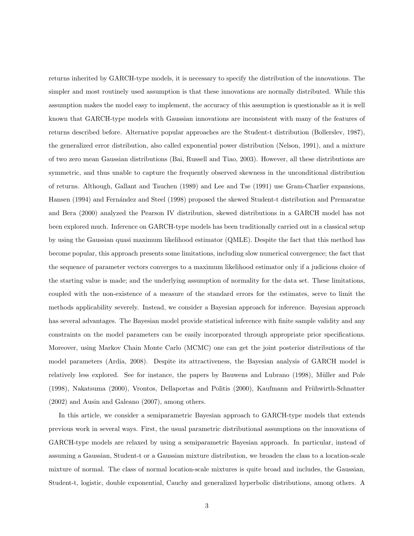returns inherited by GARCH-type models, it is necessary to specify the distribution of the innovations. The simpler and most routinely used assumption is that these innovations are normally distributed. While this assumption makes the model easy to implement, the accuracy of this assumption is questionable as it is well known that GARCH-type models with Gaussian innovations are inconsistent with many of the features of returns described before. Alternative popular approaches are the Student-t distribution (Bollerslev, 1987), the generalized error distribution, also called exponential power distribution (Nelson, 1991), and a mixture of two zero mean Gaussian distributions (Bai, Russell and Tiao, 2003). However, all these distributions are symmetric, and thus unable to capture the frequently observed skewness in the unconditional distribution of returns. Although, Gallant and Tauchen (1989) and Lee and Tse (1991) use Gram-Charlier expansions, Hansen (1994) and Fernández and Steel (1998) proposed the skewed Student-t distribution and Premaratne and Bera (2000) analyzed the Pearson IV distribution, skewed distributions in a GARCH model has not been explored much. Inference on GARCH-type models has been traditionally carried out in a classical setup by using the Gaussian quasi maximum likelihood estimator (QMLE). Despite the fact that this method has become popular, this approach presents some limitations, including slow numerical convergence; the fact that the sequence of parameter vectors converges to a maximum likelihood estimator only if a judicious choice of the starting value is made; and the underlying assumption of normality for the data set. These limitations, coupled with the non-existence of a measure of the standard errors for the estimates, serve to limit the methods applicability severely. Instead, we consider a Bayesian approach for inference. Bayesian approach has several advantages. The Bayesian model provide statistical inference with finite sample validity and any constraints on the model parameters can be easily incorporated through appropriate prior specifications. Moreover, using Markov Chain Monte Carlo (MCMC) one can get the joint posterior distributions of the model parameters (Ardia, 2008). Despite its attractiveness, the Bayesian analysis of GARCH model is relatively less explored. See for instance, the papers by Bauwens and Lubrano (1998), Müller and Pole  $(1998)$ , Nakatsuma  $(2000)$ , Vrontos, Dellaportas and Politis  $(2000)$ , Kaufmann and Frühwirth-Schnatter (2002) and Ausin and Galeano (2007), among others.

In this article, we consider a semiparametric Bayesian approach to GARCH-type models that extends previous work in several ways. First, the usual parametric distributional assumptions on the innovations of GARCH-type models are relaxed by using a semiparametric Bayesian approach. In particular, instead of assuming a Gaussian, Student-t or a Gaussian mixture distribution, we broaden the class to a location-scale mixture of normal. The class of normal location-scale mixtures is quite broad and includes, the Gaussian, Student-t, logistic, double exponential, Cauchy and generalized hyperbolic distributions, among others. A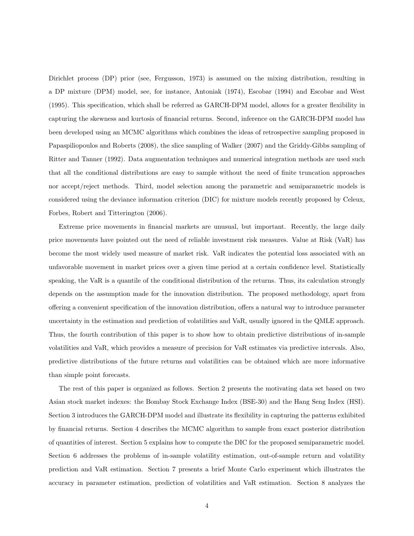Dirichlet process (DP) prior (see, Fergusson, 1973) is assumed on the mixing distribution, resulting in a DP mixture (DPM) model, see, for instance, Antoniak (1974), Escobar (1994) and Escobar and West (1995). This specification, which shall be referred as GARCH-DPM model, allows for a greater flexibility in capturing the skewness and kurtosis of financial returns. Second, inference on the GARCH-DPM model has been developed using an MCMC algorithms which combines the ideas of retrospective sampling proposed in Papaspiliopoulos and Roberts (2008), the slice sampling of Walker (2007) and the Griddy-Gibbs sampling of Ritter and Tanner (1992). Data augmentation techniques and numerical integration methods are used such that all the conditional distributions are easy to sample without the need of finite truncation approaches nor accept/reject methods. Third, model selection among the parametric and semiparametric models is considered using the deviance information criterion (DIC) for mixture models recently proposed by Celeux, Forbes, Robert and Titterington (2006).

Extreme price movements in financial markets are unusual, but important. Recently, the large daily price movements have pointed out the need of reliable investment risk measures. Value at Risk (VaR) has become the most widely used measure of market risk. VaR indicates the potential loss associated with an unfavorable movement in market prices over a given time period at a certain confidence level. Statistically speaking, the VaR is a quantile of the conditional distribution of the returns. Thus, its calculation strongly depends on the assumption made for the innovation distribution. The proposed methodology, apart from offering a convenient specification of the innovation distribution, offers a natural way to introduce parameter uncertainty in the estimation and prediction of volatilities and VaR, usually ignored in the QMLE approach. Thus, the fourth contribution of this paper is to show how to obtain predictive distributions of in-sample volatilities and VaR, which provides a measure of precision for VaR estimates via predictive intervals. Also, predictive distributions of the future returns and volatilities can be obtained which are more informative than simple point forecasts.

The rest of this paper is organized as follows. Section 2 presents the motivating data set based on two Asian stock market indexes: the Bombay Stock Exchange Index (BSE-30) and the Hang Seng Index (HSI). Section 3 introduces the GARCH-DPM model and illustrate its flexibility in capturing the patterns exhibited by financial returns. Section 4 describes the MCMC algorithm to sample from exact posterior distribution of quantities of interest. Section 5 explains how to compute the DIC for the proposed semiparametric model. Section 6 addresses the problems of in-sample volatility estimation, out-of-sample return and volatility prediction and VaR estimation. Section 7 presents a brief Monte Carlo experiment which illustrates the accuracy in parameter estimation, prediction of volatilities and VaR estimation. Section 8 analyzes the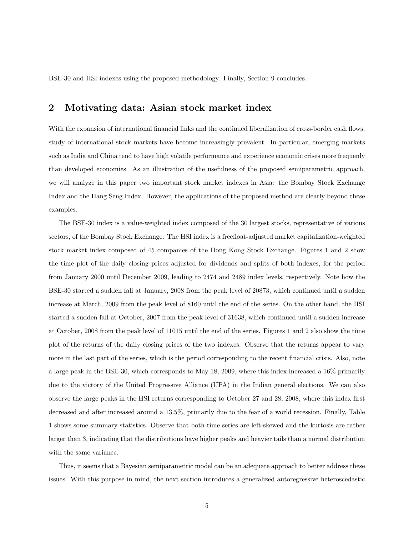BSE-30 and HSI indexes using the proposed methodology. Finally, Section 9 concludes.

#### 2 Motivating data: Asian stock market index

With the expansion of international financial links and the continued liberalization of cross-border cash flows, study of international stock markets have become increasingly prevalent. In particular, emerging markets such as India and China tend to have high volatile performance and experience economic crises more frequenly than developed economies. As an illustration of the usefulness of the proposed semiparametric approach, we will analyze in this paper two important stock market indexes in Asia: the Bombay Stock Exchange Index and the Hang Seng Index. However, the applications of the proposed method are clearly beyond these examples.

The BSE-30 index is a value-weighted index composed of the 30 largest stocks, representative of various sectors, of the Bombay Stock Exchange. The HSI index is a freefloat-adjusted market capitalization-weighted stock market index composed of 45 companies of the Hong Kong Stock Exchange. Figures 1 and 2 show the time plot of the daily closing prices adjusted for dividends and splits of both indexes, for the period from January 2000 until December 2009, leading to 2474 and 2489 index levels, respectively. Note how the BSE-30 started a sudden fall at January, 2008 from the peak level of 20873, which continued until a sudden increase at March, 2009 from the peak level of 8160 until the end of the series. On the other hand, the HSI started a sudden fall at October, 2007 from the peak level of 31638, which continued until a sudden increase at October, 2008 from the peak level of 11015 until the end of the series. Figures 1 and 2 also show the time plot of the returns of the daily closing prices of the two indexes. Observe that the returns appear to vary more in the last part of the series, which is the period corresponding to the recent financial crisis. Also, note a large peak in the BSE-30, which corresponds to May 18, 2009, where this index increased a 16% primarily due to the victory of the United Progressive Alliance (UPA) in the Indian general elections. We can also observe the large peaks in the HSI returns corresponding to October 27 and 28, 2008, where this index first decreased and after increased around a 13.5%, primarily due to the fear of a world recession. Finally, Table 1 shows some summary statistics. Observe that both time series are left-skewed and the kurtosis are rather larger than 3, indicating that the distributions have higher peaks and heavier tails than a normal distribution with the same variance.

Thus, it seems that a Bayesian semiparametric model can be an adequate approach to better address these issues. With this purpose in mind, the next section introduces a generalized autoregressive heteroscedastic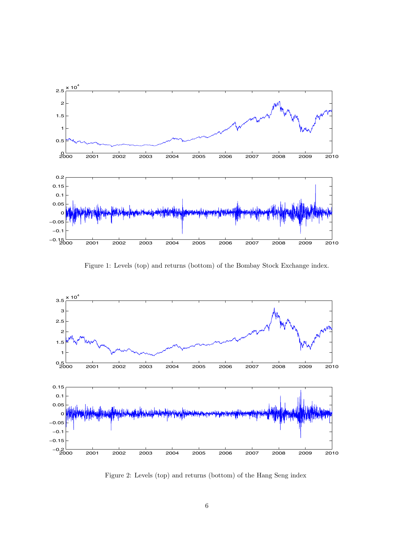

Figure 1: Levels (top) and returns (bottom) of the Bombay Stock Exchange index.



Figure 2: Levels (top) and returns (bottom) of the Hang Seng index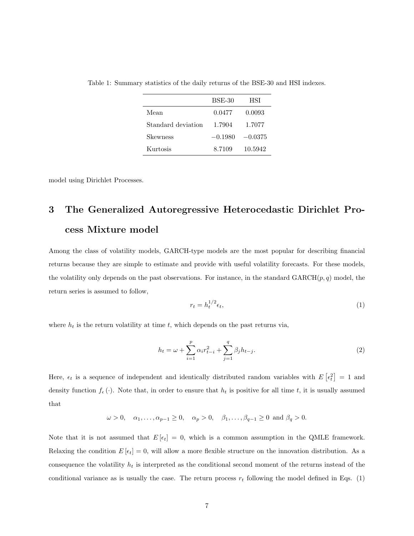|                    | <b>BSE-30</b> | HSI       |
|--------------------|---------------|-----------|
| Mean               | 0.0477        | 0.0093    |
| Standard deviation | 1.7904        | 1.7077    |
| Skewness           | $-0.1980$     | $-0.0375$ |
| Kurtosis           | 8.7109        | 10.5942   |

Table 1: Summary statistics of the daily returns of the BSE-30 and HSI indexes.

model using Dirichlet Processes.

# 3 The Generalized Autoregressive Heterocedastic Dirichlet Process Mixture model

Among the class of volatility models, GARCH-type models are the most popular for describing financial returns because they are simple to estimate and provide with useful volatility forecasts. For these models, the volatility only depends on the past observations. For instance, in the standard  $GARCH(p, q)$  model, the return series is assumed to follow,

$$
r_t = h_t^{1/2} \epsilon_t,\tag{1}
$$

where  $h_t$  is the return volatility at time t, which depends on the past returns via,

$$
h_t = \omega + \sum_{i=1}^p \alpha_i r_{t-i}^2 + \sum_{j=1}^q \beta_j h_{t-j}.
$$
 (2)

Here,  $\epsilon_t$  is a sequence of independent and identically distributed random variables with  $E\left[\epsilon_t^2\right] = 1$  and density function  $f_{\epsilon}(\cdot)$ . Note that, in order to ensure that  $h_t$  is positive for all time t, it is usually assumed that

$$
\omega > 0, \quad \alpha_1, \dots, \alpha_{p-1} \ge 0, \quad \alpha_p > 0, \quad \beta_1, \dots, \beta_{q-1} \ge 0 \text{ and } \beta_q > 0.
$$

Note that it is not assumed that  $E[\epsilon_t] = 0$ , which is a common assumption in the QMLE framework. Relaxing the condition  $E[\epsilon_t] = 0$ , will allow a more flexible structure on the innovation distribution. As a consequence the volatility  $h_t$  is interpreted as the conditional second moment of the returns instead of the conditional variance as is usually the case. The return process  $r_t$  following the model defined in Eqs. (1)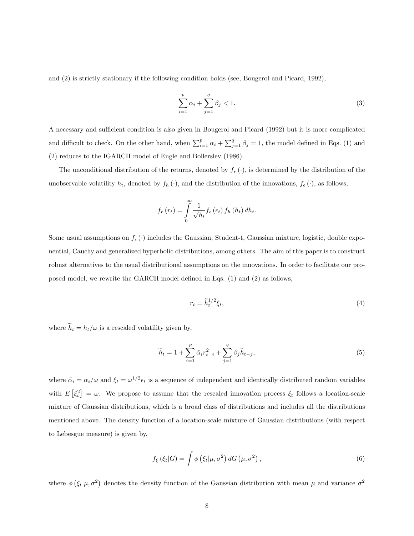and (2) is strictly stationary if the following condition holds (see, Bougerol and Picard, 1992),

$$
\sum_{i=1}^{p} \alpha_i + \sum_{j=1}^{q} \beta_j < 1. \tag{3}
$$

A necessary and sufficient condition is also given in Bougerol and Picard (1992) but it is more complicated and difficult to check. On the other hand, when  $\sum_{i=1}^{p} \alpha_i + \sum_{j=1}^{q} \beta_j = 1$ , the model defined in Eqs. (1) and (2) reduces to the IGARCH model of Engle and Bollerslev (1986).

The unconditional distribution of the returns, denoted by  $f_r(\cdot)$ , is determined by the distribution of the unobservable volatility  $h_t$ , denoted by  $f_h(\cdot)$ , and the distribution of the innovations,  $f_{\epsilon}(\cdot)$ , as follows,

$$
f_r(r_t) = \int\limits_0^\infty \frac{1}{\sqrt{h_t}} f_\epsilon\left(\epsilon_t\right) f_h\left(h_t\right) dh_t.
$$

Some usual assumptions on  $f_{\epsilon}(\cdot)$  includes the Gaussian, Student-t, Gaussian mixture, logistic, double exponential, Cauchy and generalized hyperbolic distributions, among others. The aim of this paper is to construct robust alternatives to the usual distributional assumptions on the innovations. In order to facilitate our proposed model, we rewrite the GARCH model defined in Eqs. (1) and (2) as follows,

$$
r_t = \tilde{h}_t^{1/2} \xi_t,\tag{4}
$$

where  $\widetilde{h}_t = h_t/\omega$  is a rescaled volatility given by,

$$
\widetilde{h}_t = 1 + \sum_{i=1}^p \widetilde{\alpha}_i r_{t-i}^2 + \sum_{j=1}^q \beta_j \widetilde{h}_{t-j},\tag{5}
$$

where  $\tilde{\alpha}_i = \alpha_i/\omega$  and  $\xi_t = \omega^{1/2} \epsilon_t$  is a sequence of independent and identically distributed random variables with  $E\left[\xi_t^2\right] = \omega$ . We propose to assume that the rescaled innovation process  $\xi_t$  follows a location-scale mixture of Gaussian distributions, which is a broad class of distributions and includes all the distributions mentioned above. The density function of a location-scale mixture of Gaussian distributions (with respect to Lebesgue measure) is given by,

$$
f_{\xi}\left(\xi_t|G\right) = \int \phi\left(\xi_t|\mu,\sigma^2\right) dG\left(\mu,\sigma^2\right),\tag{6}
$$

where  $\phi\left(\xi_t|\mu,\sigma^2\right)$  denotes the density function of the Gaussian distribution with mean  $\mu$  and variance  $\sigma^2$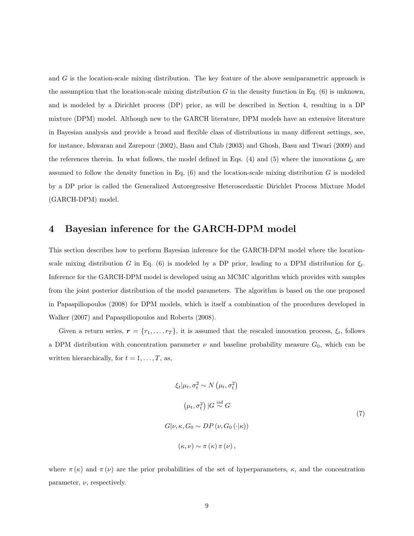and G is the location-scale mixing distribution. The key feature of the above semiparametric approach is the assumption that the location-scale mixing distribution  $G$  in the density function in Eq. (6) is unknown, and is modeled by a Dirichlet process (DP) prior, as will be described in Section 4, resulting in a DP mixture (DPM) model. Although new to the GARCH literature, DPM models have an extensive literature in Bayesian analysis and provide a broad and flexible class of distributions in many different settings, see, for instance, Ishwaran and Zarepour (2002), Basu and Chib (2003) and Ghosh, Basu and Tiwari (2009) and the references therein. In what follows, the model defined in Eqs. (4) and (5) where the innovations  $\xi_t$  are assumed to follow the density function in Eq.  $(6)$  and the location-scale mixing distribution G is modeled by a DP prior is called the Generalized Autoregressive Heteroscedastic Dirichlet Process Mixture Model (GARCH-DPM) model.

#### 4 Bayesian inference for the GARCH-DPM model

This section describes how to perform Bayesian inference for the GARCH-DPM model where the locationscale mixing distribution G in Eq. (6) is modeled by a DP prior, leading to a DPM distribution for  $\xi_t$ . Inference for the GARCH-DPM model is developed using an MCMC algorithm which provides with samples from the joint posterior distribution of the model parameters. The algorithm is based on the one proposed in Papaspiliopoulos (2008) for DPM models, which is itself a combination of the procedures developed in Walker (2007) and Papaspiliopoulos and Roberts (2008).

Given a return series,  $\mathbf{r} = \{r_1, \ldots, r_T\}$ , it is assumed that the rescaled innovation process,  $\xi_t$ , follows a DPM distribution with concentration parameter  $\nu$  and baseline probability measure  $G_0$ , which can be written hierarchically, for  $t = 1, \ldots, T$ , as,

$$
\xi_t | \mu_t, \sigma_t^2 \sim N(\mu_t, \sigma_t^2)
$$
  

$$
(\mu_t, \sigma_t^2) | G \stackrel{iid}{\sim} G
$$
  

$$
G | \nu, \kappa, G_0 \sim DP(\nu, G_0(\cdot | \kappa))
$$
  

$$
(\kappa, \nu) \sim \pi(\kappa) \pi(\nu),
$$
 (7)

where  $\pi(\kappa)$  and  $\pi(\nu)$  are the prior probabilities of the set of hyperparameters,  $\kappa$ , and the concentration parameter,  $\nu$ , respectively.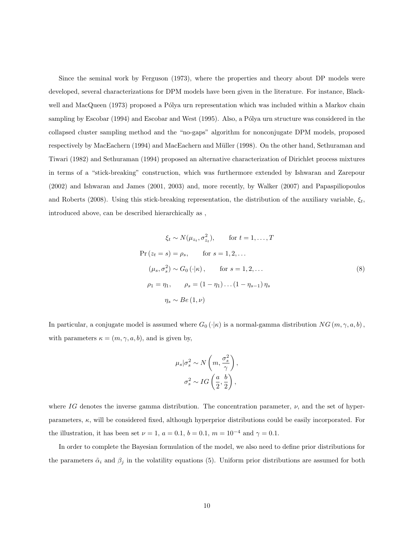Since the seminal work by Ferguson (1973), where the properties and theory about DP models were developed, several characterizations for DPM models have been given in the literature. For instance, Blackwell and MacQueen (1973) proposed a Pólya urn representation which was included within a Markov chain sampling by Escobar (1994) and Escobar and West (1995). Also, a Pólya urn structure was considered in the collapsed cluster sampling method and the "no-gaps" algorithm for nonconjugate DPM models, proposed respectively by MacEachern (1994) and MacEachern and Müller (1998). On the other hand, Sethuraman and Tiwari (1982) and Sethuraman (1994) proposed an alternative characterization of Dirichlet process mixtures in terms of a "stick-breaking" construction, which was furthermore extended by Ishwaran and Zarepour (2002) and Ishwaran and James (2001, 2003) and, more recently, by Walker (2007) and Papaspiliopoulos and Roberts (2008). Using this stick-breaking representation, the distribution of the auxiliary variable,  $\xi_t$ , introduced above, can be described hierarchically as ,

$$
\xi_t \sim N(\mu_{z_t}, \sigma_{z_t}^2), \quad \text{for } t = 1, \dots, T
$$
  
Pr $(z_t = s) = \rho_s$ , for  $s = 1, 2, \dots$   
 $(\mu_s, \sigma_s^2) \sim G_0(\cdot|\kappa)$ , for  $s = 1, 2, \dots$   
 $\rho_1 = \eta_1, \quad \rho_s = (1 - \eta_1) \dots (1 - \eta_{s-1}) \eta_s$   
 $\eta_s \sim Be(1, \nu)$  (8)

In particular, a conjugate model is assumed where  $G_0(\cdot|\kappa)$  is a normal-gamma distribution  $NG(m, \gamma, a, b)$ , with parameters  $\kappa = (m, \gamma, a, b)$ , and is given by,

$$
\mu_s|\sigma_s^2 \sim N\left(m, \frac{\sigma_s^2}{\gamma}\right),\,
$$

$$
\sigma_s^2 \sim IG\left(\frac{a}{2}, \frac{b}{2}\right),
$$

where IG denotes the inverse gamma distribution. The concentration parameter,  $\nu$ , and the set of hyperparameters,  $\kappa$ , will be considered fixed, although hyperprior distributions could be easily incorporated. For the illustration, it has been set  $\nu = 1, a = 0.1, b = 0.1, m = 10^{-4}$  and  $\gamma = 0.1$ .

In order to complete the Bayesian formulation of the model, we also need to define prior distributions for the parameters  $\tilde{\alpha}_i$  and  $\beta_j$  in the volatility equations (5). Uniform prior distributions are assumed for both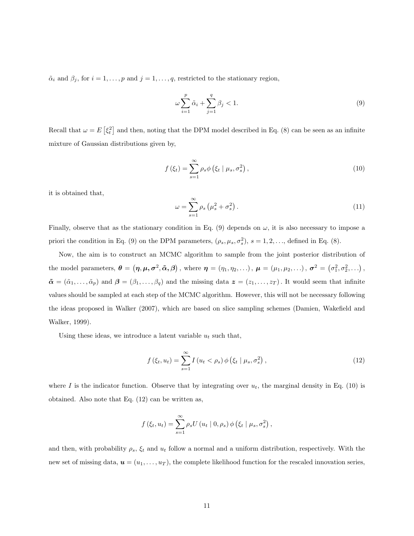$\tilde{\alpha}_i$  and  $\beta_j$ , for  $i = 1, \ldots, p$  and  $j = 1, \ldots, q$ , restricted to the stationary region,

$$
\omega \sum_{i=1}^{p} \tilde{\alpha}_i + \sum_{j=1}^{q} \beta_j < 1. \tag{9}
$$

Recall that  $\omega = E\left[\xi_t^2\right]$  and then, noting that the DPM model described in Eq. (8) can be seen as an infinite mixture of Gaussian distributions given by,

$$
f\left(\xi_t\right) = \sum_{s=1}^{\infty} \rho_s \phi\left(\xi_t \mid \mu_s, \sigma_s^2\right),\tag{10}
$$

it is obtained that,

$$
\omega = \sum_{s=1}^{\infty} \rho_s \left( \mu_s^2 + \sigma_s^2 \right). \tag{11}
$$

Finally, observe that as the stationary condition in Eq. (9) depends on  $\omega$ , it is also necessary to impose a priori the condition in Eq. (9) on the DPM parameters,  $(\rho_s, \mu_s, \sigma_s^2), s = 1, 2, ...,$  defined in Eq. (8).

Now, the aim is to construct an MCMC algorithm to sample from the joint posterior distribution of the model parameters,  $\boldsymbol{\theta} = (\boldsymbol{\eta}, \boldsymbol{\mu}, \boldsymbol{\sigma}^2, \tilde{\boldsymbol{\alpha}}, \boldsymbol{\beta})$ , where  $\boldsymbol{\eta} = (\eta_1, \eta_2, \ldots), \ \boldsymbol{\mu} = (\mu_1, \mu_2, \ldots), \ \boldsymbol{\sigma}^2 = (\sigma_1^2, \sigma_2^2, \ldots),$  $\tilde{\boldsymbol{\alpha}} = (\tilde{\alpha}_1, \ldots, \tilde{\alpha}_p)$  and  $\boldsymbol{\beta} = (\beta_1, \ldots, \beta_q)$  and the missing data  $\boldsymbol{z} = (z_1, \ldots, z_T)$ . It would seem that infinite values should be sampled at each step of the MCMC algorithm. However, this will not be necessary following the ideas proposed in Walker (2007), which are based on slice sampling schemes (Damien, Wakefield and Walker, 1999).

Using these ideas, we introduce a latent variable  $u_t$  such that,

$$
f\left(\xi_t, u_t\right) = \sum_{s=1}^{\infty} I\left(u_t < \rho_s\right) \phi\left(\xi_t \mid \mu_s, \sigma_s^2\right),\tag{12}
$$

where I is the indicator function. Observe that by integrating over  $u_t$ , the marginal density in Eq. (10) is obtained. Also note that Eq. (12) can be written as,

$$
f(\xi_t, u_t) = \sum_{s=1}^{\infty} \rho_s U(u_t | 0, \rho_s) \phi(\xi_t | \mu_s, \sigma_s^2),
$$

and then, with probability  $\rho_s$ ,  $\xi_t$  and  $u_t$  follow a normal and a uniform distribution, respectively. With the new set of missing data,  $u = (u_1, \ldots, u_T)$ , the complete likelihood function for the rescaled innovation series,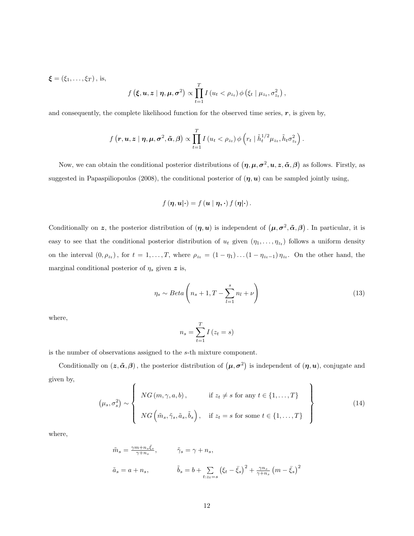$$
\boldsymbol{\xi} = (\xi_1, \dots, \xi_T), \text{ is,}
$$
\n
$$
f(\boldsymbol{\xi}, \boldsymbol{u}, \boldsymbol{z} \mid \boldsymbol{\eta}, \boldsymbol{\mu}, \sigma^2) \propto \prod_{t=1}^T I(u_t < \rho_{z_t}) \phi(\xi_t \mid \mu_{z_t}, \sigma^2_{z_t})
$$

and consequently, the complete likelihood function for the observed time series,  $r$ , is given by,

$$
f\left(r, \boldsymbol{u}, \boldsymbol{z} \mid \boldsymbol{\eta}, \boldsymbol{\mu}, \boldsymbol{\sigma}^2, \tilde{\boldsymbol{\alpha}}, \boldsymbol{\beta}\right) \propto \prod_{t=1}^T I\left(u_t < \rho_{z_t}\right) \phi\left(r_t \mid \tilde{h}_t^{1/2} \mu_{z_t}, \tilde{h}_t \sigma_{z_t}^2\right).
$$

Now, we can obtain the conditional posterior distributions of  $(\eta, \mu, \sigma^2, u, z, \tilde{\alpha}, \beta)$  as follows. Firstly, as suggested in Papaspiliopoulos (2008), the conditional posterior of  $(\eta, u)$  can be sampled jointly using,

$$
f(\eta, \boldsymbol{u}|\cdot) = f(\boldsymbol{u} \mid \eta, \cdot) f(\eta|\cdot).
$$

Conditionally on z, the posterior distribution of  $(\eta, u)$  is independent of  $(\mu, \sigma^2, \tilde{\alpha}, \beta)$ . In particular, it is easy to see that the conditional posterior distribution of  $u_t$  given  $(\eta_1, \ldots, \eta_{z_t})$  follows a uniform density on the interval  $(0, \rho_{z_t})$ , for  $t = 1, \ldots, T$ , where  $\rho_{z_t} = (1 - \eta_1) \ldots (1 - \eta_{z_t-1}) \eta_{z_t}$ . On the other hand, the marginal conditional posterior of  $\eta_s$  given z is,

$$
\eta_s \sim Beta\left(n_s + 1, T - \sum_{l=1}^s n_l + \nu\right)
$$
\n(13)

,

where,

$$
n_s = \sum_{t=1}^{T} I(z_t = s)
$$

is the number of observations assigned to the s-th mixture component.

Conditionally on  $(z, \tilde{\alpha}, \beta)$ , the posterior distribution of  $(\mu, \sigma^2)$  is independent of  $(\eta, u)$ , conjugate and given by,  $\lambda$ 

$$
(\mu_s, \sigma_s^2) \sim \left\{ N G(m, \gamma, a, b), \text{ if } z_t \neq s \text{ for any } t \in \{1, ..., T\} \atop NG\left(\tilde{m}_s, \tilde{\gamma}_s, \tilde{a}_s, \tilde{b}_s\right), \text{ if } z_t = s \text{ for some } t \in \{1, ..., T\} \right\}
$$
\n
$$
(14)
$$

where,

$$
\tilde{m}_s = \frac{\gamma m + n_s \bar{\xi}_s}{\gamma + n_s}, \qquad \tilde{\gamma}_s = \gamma + n_s,
$$
\n
$$
\tilde{a}_s = a + n_s, \qquad \tilde{b}_s = b + \sum_{t:z_t = s} (\xi_t - \bar{\xi}_s)^2 + \frac{\gamma n_s}{\gamma + n_s} (m - \bar{\xi}_s)^2
$$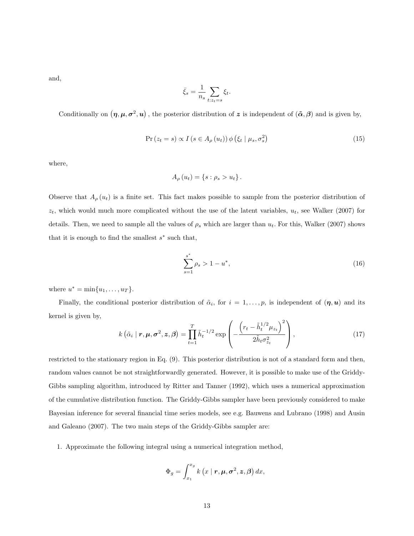and,

$$
\bar{\xi}_s = \frac{1}{n_s} \sum_{t: z_t = s} \xi_t.
$$

Conditionally on  $(\eta, \mu, \sigma^2, u)$ , the posterior distribution of z is independent of  $(\tilde{\alpha}, \beta)$  and is given by,

$$
Pr(z_t = s) \propto I(s \in A_{\rho}(u_t)) \phi(\xi_t | \mu_s, \sigma_s^2)
$$
\n(15)

where,

$$
A_{\rho}(u_t) = \{s : \rho_s > u_t\}.
$$

Observe that  $A_{\rho}(u_t)$  is a finite set. This fact makes possible to sample from the posterior distribution of  $z_t$ , which would much more complicated without the use of the latent variables,  $u_t$ , see Walker (2007) for details. Then, we need to sample all the values of  $\rho_s$  which are larger than  $u_t$ . For this, Walker (2007) shows that it is enough to find the smallest  $s^*$  such that,

$$
\sum_{s=1}^{s^*} \rho_s > 1 - u^*,\tag{16}
$$

where  $u^* = \min\{u_1, ..., u_T\}.$ 

Finally, the conditional posterior distribution of  $\tilde{\alpha}_i$ , for  $i=1,\ldots,p$ , is independent of  $(\eta, u)$  and its kernel is given by,

$$
k\left(\tilde{\alpha}_i \mid \boldsymbol{r}, \boldsymbol{\mu}, \boldsymbol{\sigma}^2, \boldsymbol{z}, \boldsymbol{\beta}\right) = \prod_{t=1}^T \tilde{h}_t^{-1/2} \exp\left(-\frac{\left(r_t - \tilde{h}_t^{1/2} \mu_{z_t}\right)^2}{2\tilde{h}_t \sigma_{z_t}^2}\right),\tag{17}
$$

restricted to the stationary region in Eq. (9). This posterior distribution is not of a standard form and then, random values cannot be not straightforwardly generated. However, it is possible to make use of the Griddy-Gibbs sampling algorithm, introduced by Ritter and Tanner (1992), which uses a numerical approximation of the cumulative distribution function. The Griddy-Gibbs sampler have been previously considered to make Bayesian inference for several financial time series models, see e.g. Bauwens and Lubrano (1998) and Ausin and Galeano (2007). The two main steps of the Griddy-Gibbs sampler are:

1. Approximate the following integral using a numerical integration method,

$$
\Phi_g = \int_{x_1}^{x_g} k\left(x \mid \mathbf{r}, \mathbf{\mu}, \mathbf{\sigma}^2, \mathbf{z}, \mathbf{\beta}\right) dx,
$$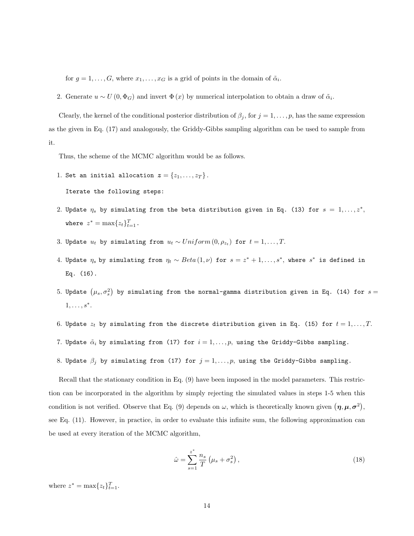for  $g = 1, \ldots, G$ , where  $x_1, \ldots, x_G$  is a grid of points in the domain of  $\tilde{\alpha}_i$ .

2. Generate  $u \sim U(0, \Phi_G)$  and invert  $\Phi(x)$  by numerical interpolation to obtain a draw of  $\tilde{\alpha}_i$ .

Clearly, the kernel of the conditional posterior distribution of  $\beta_j$ , for  $j = 1, \ldots, p$ , has the same expression as the given in Eq. (17) and analogously, the Griddy-Gibbs sampling algorithm can be used to sample from it.

Thus, the scheme of the MCMC algorithm would be as follows.

1. Set an initial allocation  $\boldsymbol{z} = \{z_1, \ldots, z_T\}$ .

Iterate the following steps:

- 2. Update  $\eta_s$  by simulating from the beta distribution given in Eq. (13) for  $s = 1, \ldots, z^*,$ where  $z^* = \max\{z_t\}_{t=1}^T$ .
- 3. Update  $u_t$  by simulating from  $u_t \sim Uniform(0, \rho_{z_t})$  for  $t = 1, \ldots, T$ .
- 4. Update  $\eta_s$  by simulating from  $\eta_t \sim Beta(1, \nu)$  for  $s = z^* + 1, \ldots, s^*$ , where  $s^*$  is defined in Eq. (16).
- 5. Update  $\left(\mu_s, \sigma_s^2\right)$  by simulating from the normal-gamma distribution given in Eq. (14) for  $s=$  $1, \ldots, s^*$ .
- 6. Update  $z_t$  by simulating from the discrete distribution given in Eq. (15) for  $t = 1, ..., T$ .
- 7. Update  $\tilde{\alpha}_i$  by simulating from (17) for  $i = 1, ..., p$ , using the Griddy-Gibbs sampling.
- 8. Update  $\beta_j$  by simulating from (17) for  $j = 1, ..., p$ , using the Griddy-Gibbs sampling.

Recall that the stationary condition in Eq. (9) have been imposed in the model parameters. This restriction can be incorporated in the algorithm by simply rejecting the simulated values in steps 1-5 when this condition is not verified. Observe that Eq. (9) depends on  $\omega$ , which is theoretically known given  $(\eta, \mu, \sigma^2)$ , see Eq. (11). However, in practice, in order to evaluate this infinite sum, the following approximation can be used at every iteration of the MCMC algorithm,

$$
\hat{\omega} = \sum_{s=1}^{z^*} \frac{n_s}{T} \left(\mu_s + \sigma_s^2\right),\tag{18}
$$

where  $z^* = \max\{z_t\}_{t=1}^T$ .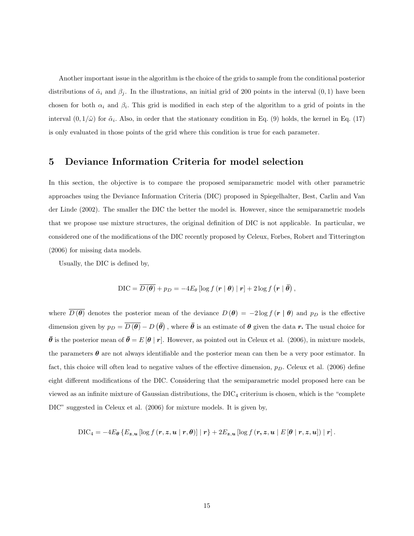Another important issue in the algorithm is the choice of the grids to sample from the conditional posterior distributions of  $\tilde{\alpha}_i$  and  $\beta_j$ . In the illustrations, an initial grid of 200 points in the interval  $(0, 1)$  have been chosen for both  $\alpha_i$  and  $\beta_i$ . This grid is modified in each step of the algorithm to a grid of points in the interval  $(0, 1/\hat{\omega})$  for  $\tilde{\alpha}_i$ . Also, in order that the stationary condition in Eq. (9) holds, the kernel in Eq. (17) is only evaluated in those points of the grid where this condition is true for each parameter.

#### 5 Deviance Information Criteria for model selection

In this section, the objective is to compare the proposed semiparametric model with other parametric approaches using the Deviance Information Criteria (DIC) proposed in Spiegelhalter, Best, Carlin and Van der Linde (2002). The smaller the DIC the better the model is. However, since the semiparametric models that we propose use mixture structures, the original definition of DIC is not applicable. In particular, we considered one of the modifications of the DIC recently proposed by Celeux, Forbes, Robert and Titterington (2006) for missing data models.

Usually, the DIC is defined by,

$$
\text{DIC} = \overline{D(\boldsymbol{\theta})} + p_D = -4E_{\theta} [\log f(\mathbf{r} \mid \boldsymbol{\theta}) \mid \mathbf{r}] + 2 \log f(\mathbf{r} \mid \boldsymbol{\bar{\theta}}),
$$

where  $\overline{D(\theta)}$  denotes the posterior mean of the deviance  $D(\theta) = -2 \log f(r \mid \theta)$  and  $p_D$  is the effective dimension given by  $p_D = \overline{D(\theta)} - D(\bar{\theta})$ , where  $\bar{\theta}$  is an estimate of  $\theta$  given the data r. The usual choice for  $\bar{\theta}$  is the posterior mean of  $\bar{\theta} = E[\theta | r]$ . However, as pointed out in Celeux et al. (2006), in mixture models, the parameters  $\theta$  are not always identifiable and the posterior mean can then be a very poor estimator. In fact, this choice will often lead to negative values of the effective dimension,  $p<sub>D</sub>$ . Celeux et al. (2006) define eight different modifications of the DIC. Considering that the semiparametric model proposed here can be viewed as an infinite mixture of Gaussian distributions, the  $DIC_4$  criterium is chosen, which is the "complete" DIC" suggested in Celeux et al. (2006) for mixture models. It is given by,

$$
\text{DIC}_4 = -4E_{\theta}\left\{E_{\boldsymbol{z},\boldsymbol{u}}\left[\log f\left(\boldsymbol{r},\boldsymbol{z},\boldsymbol{u} \mid \boldsymbol{r},\boldsymbol{\theta}\right)\right] | \boldsymbol{r}\right\} + 2E_{\boldsymbol{z},\boldsymbol{u}}\left[\log f\left(\boldsymbol{r},\boldsymbol{z},\boldsymbol{u} \mid E\left[\boldsymbol{\theta} \mid \boldsymbol{r},\boldsymbol{z},\boldsymbol{u}\right]\right) | \boldsymbol{r}\right].
$$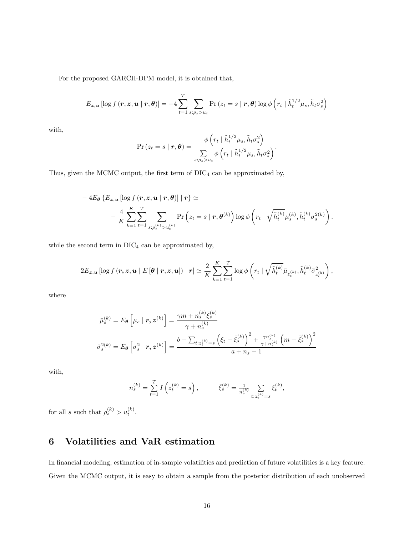For the proposed GARCH-DPM model, it is obtained that,

$$
E_{\boldsymbol{z},\boldsymbol{u}}\left[\log f\left(\boldsymbol{r},\boldsymbol{z},\boldsymbol{u}\mid\boldsymbol{r},\boldsymbol{\theta}\right)\right] = -4\sum_{t=1}^{T}\sum_{s:\rho_s > u_t}\Pr\left(z_t = s\mid \boldsymbol{r},\boldsymbol{\theta}\right)\log\phi\left(r_t\mid \tilde{h}_t^{1/2}\mu_s, \tilde{h}_t\sigma_s^2\right)
$$

with,

$$
\Pr(z_t = s \mid \boldsymbol{r}, \boldsymbol{\theta}) = \frac{\phi\left(r_t \mid \tilde{h}_t^{1/2} \mu_s, \tilde{h}_t \sigma_s^2\right)}{\sum\limits_{s: \rho_s > u_t} \phi\left(r_t \mid \tilde{h}_t^{1/2} \mu_s, \tilde{h}_t \sigma_s^2\right)}.
$$

Thus, given the MCMC output, the first term of  $\rm DIC_4$  can be approximated by,

$$
-4E_{\theta}\left\{E_{\boldsymbol{z},\boldsymbol{u}}\left[\log f\left(\boldsymbol{r},\boldsymbol{z},\boldsymbol{u}\mid\boldsymbol{r},\theta\right)\right]|\boldsymbol{r}\right\} \simeq\\-\frac{4}{K}\sum_{k=1}^{K}\sum_{t=1}^{T}\sum_{s:\rho_{s}^{(k)}>u_{t}^{(k)}}\Pr\left(z_{t}=s\mid\boldsymbol{r},\theta^{(k)}\right)\log\phi\left(r_{t}\mid\sqrt{\tilde{h}_{t}^{(k)}}\mu_{s}^{(k)},\tilde{h}_{t}^{(k)}\sigma_{s}^{2(k)}\right).
$$

while the second term in  $DIC<sub>4</sub>$  can be approximated by,

$$
2E_{\boldsymbol{z},\boldsymbol{u}}\left[\log f\left(\boldsymbol{r},\boldsymbol{z},\boldsymbol{u}\mid E\left[\boldsymbol{\theta}\mid\boldsymbol{r},\boldsymbol{z},\boldsymbol{u}\right]\right)\mid\boldsymbol{r}\right]\simeq\frac{2}{K}\sum_{k=1}^{K}\sum_{t=1}^{T}\log\phi\left(r_{t}\mid\sqrt{\tilde{h}_{t}^{(k)}}\bar{\mu}_{z_{t}^{(k)}},\tilde{h}_{t}^{(k)}\bar{\sigma}_{z_{t}^{(k)}}^{2}\right),
$$

where

$$
\bar{\mu}_s^{(k)} = E_{\theta} \left[ \mu_s \mid \mathbf{r}, \mathbf{z}^{(k)} \right] = \frac{\gamma m + n_s^{(k)} \bar{\xi}_s^{(k)}}{\gamma + n_s^{(k)}}
$$
\n
$$
\bar{\sigma}_s^{2(k)} = E_{\theta} \left[ \sigma_s^2 \mid \mathbf{r}, \mathbf{z}^{(k)} \right] = \frac{b + \sum_{t: z_t^{(k)} = s} \left( \xi_t - \bar{\xi}_s^{(k)} \right)^2 + \frac{\gamma n_s^{(k)}}{\gamma + n_s^{(k)}} \left( m - \bar{\xi}_s^{(k)} \right)^2}{a + n_s - 1}
$$

with,

$$
n_s^{(k)} = \sum_{t=1}^T I\left(z_t^{(k)} = s\right), \qquad \bar{\xi}_s^{(k)} = \frac{1}{n_s^{(k)}} \sum_{t: z_t^{(k)} = s} \xi_t^{(k)},
$$

for all s such that  $\rho_s^{(k)} > u_t^{(k)}$ .

### 6 Volatilities and VaR estimation

In financial modeling, estimation of in-sample volatilities and prediction of future volatilities is a key feature. Given the MCMC output, it is easy to obtain a sample from the posterior distribution of each unobserved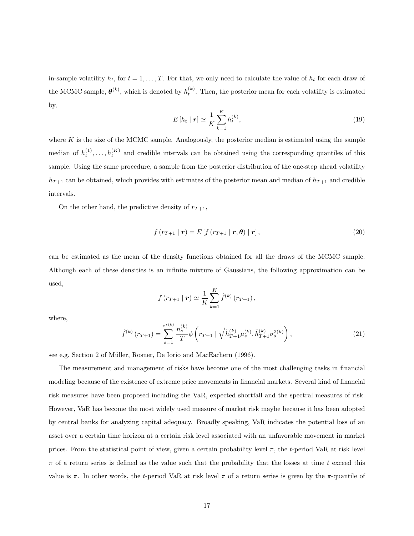in-sample volatility  $h_t$ , for  $t = 1, \ldots, T$ . For that, we only need to calculate the value of  $h_t$  for each draw of the MCMC sample,  $\boldsymbol{\theta}^{(k)}$ , which is denoted by  $h_t^{(k)}$ . Then, the posterior mean for each volatility is estimated by,

$$
E\left[h_t \mid \mathbf{r}\right] \simeq \frac{1}{K} \sum_{k=1}^{K} h_t^{(k)},\tag{19}
$$

where  $K$  is the size of the MCMC sample. Analogously, the posterior median is estimated using the sample median of  $h_t^{(1)}, \ldots, h_t^{(K)}$  and credible intervals can be obtained using the corresponding quantiles of this sample. Using the same procedure, a sample from the posterior distribution of the one-step ahead volatility  $h_{T+1}$  can be obtained, which provides with estimates of the posterior mean and median of  $h_{T+1}$  and credible intervals.

On the other hand, the predictive density of  $r_{T+1}$ ,

$$
f(r_{T+1} | \mathbf{r}) = E[f(r_{T+1} | \mathbf{r}, \boldsymbol{\theta}) | \mathbf{r}], \qquad (20)
$$

can be estimated as the mean of the density functions obtained for all the draws of the MCMC sample. Although each of these densities is an infinite mixture of Gaussians, the following approximation can be used,

$$
f(r_{T+1} | r) \simeq \frac{1}{K} \sum_{k=1}^{K} \hat{f}^{(k)}(r_{T+1}),
$$

where,

$$
\hat{f}^{(k)}\left(r_{T+1}\right) = \sum_{s=1}^{z^{*(k)}} \frac{n_s^{(k)}}{T} \phi\left(r_{T+1} \mid \sqrt{\tilde{h}_{T+1}^{(k)}} \mu_s^{(k)}, \tilde{h}_{T+1}^{(k)} \sigma_s^{2(k)}\right),\tag{21}
$$

see e.g. Section 2 of Müller, Rosner, De Iorio and MacEachern (1996).

The measurement and management of risks have become one of the most challenging tasks in financial modeling because of the existence of extreme price movements in financial markets. Several kind of financial risk measures have been proposed including the VaR, expected shortfall and the spectral measures of risk. However, VaR has become the most widely used measure of market risk maybe because it has been adopted by central banks for analyzing capital adequacy. Broadly speaking, VaR indicates the potential loss of an asset over a certain time horizon at a certain risk level associated with an unfavorable movement in market prices. From the statistical point of view, given a certain probability level  $\pi$ , the t-period VaR at risk level  $\pi$  of a return series is defined as the value such that the probability that the losses at time t exceed this value is  $\pi$ . In other words, the t-period VaR at risk level  $\pi$  of a return series is given by the  $\pi$ -quantile of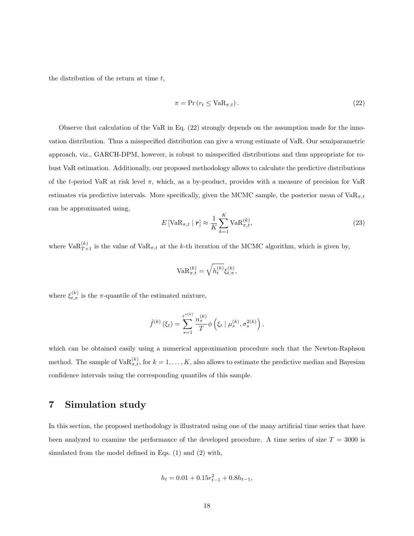the distribution of the return at time  $t$ ,

$$
\pi = \Pr\left(r_t \le \text{VaR}_{\pi,t}\right). \tag{22}
$$

Observe that calculation of the VaR in Eq. (22) strongly depends on the assumption made for the innovation distribution. Thus a misspecified distribution can give a wrong estimate of VaR. Our semiparametric approach, viz., GARCH-DPM, however, is robust to misspecified distributions and thus appropriate for robust VaR estimation. Additionally, our proposed methodology allows to calculate the predictive distributions of the t-period VaR at risk level  $\pi$ , which, as a by-product, provides with a measure of precision for VaR estimates via predictive intervals. More specifically, given the MCMC sample, the posterior mean of  $VaR_{\pi,t}$ can be approximated using,

$$
E\left[\text{VaR}_{\pi,t} \mid \mathbf{r}\right] \approx \frac{1}{K} \sum_{k=1}^{K} \text{VaR}_{\pi,t}^{(k)},\tag{23}
$$

where  $\text{VaR}_{T+1}^{(k)}$  is the value of  $\text{VaR}_{\pi,t}$  at the k-th iteration of the MCMC algorithm, which is given by,

$$
\text{VaR}_{\pi,t}^{(k)} = \sqrt{h_t^{(k)}} \xi_{t,\pi}^{(k)},
$$

where  $\xi_{t,\pi}^{(k)}$  is the  $\pi$ -quantile of the estimated mixture,

$$
\hat{f}^{(k)}(\xi_t) = \sum_{s=1}^{z^{*(k)}} \frac{n_s^{(k)}}{T} \phi\left(\xi_t \mid \mu_s^{(k)}, \sigma_s^{2(k)}\right),
$$

which can be obtained easily using a numerical approximation procedure such that the Newton-Raphson method. The sample of  $VaR_{\pi,t}^{(k)}$ , for  $k = 1, ..., K$ , also allows to estimate the predictive median and Bayesian confidence intervals using the corresponding quantiles of this sample.

#### 7 Simulation study

In this section, the proposed methodology is illustrated using one of the many artificial time series that have been analyzed to examine the performance of the developed procedure. A time series of size  $T = 3000$  is simulated from the model defined in Eqs. (1) and (2) with,

$$
h_t = 0.01 + 0.15r_{t-1}^2 + 0.8h_{t-1},
$$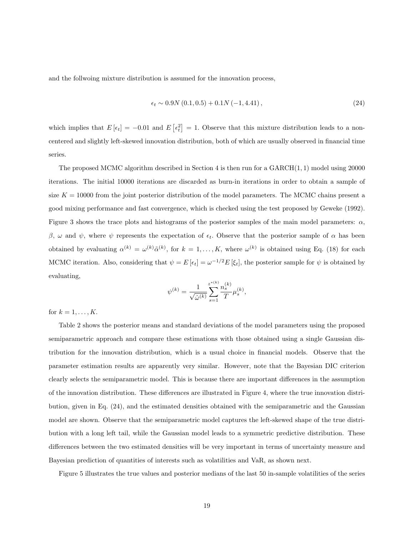and the follwoing mixture distribution is assumed for the innovation process,

$$
\epsilon_t \sim 0.9N(0.1, 0.5) + 0.1N(-1, 4.41), \qquad (24)
$$

which implies that  $E\left[\epsilon_t\right] = -0.01$  and  $E\left[\epsilon_t^2\right] = 1$ . Observe that this mixture distribution leads to a noncentered and slightly left-skewed innovation distribution, both of which are usually observed in financial time series.

The proposed MCMC algorithm described in Section 4 is then run for a  $GARCH(1, 1)$  model using 20000 iterations. The initial 10000 iterations are discarded as burn-in iterations in order to obtain a sample of size  $K = 10000$  from the joint posterior distribution of the model parameters. The MCMC chains present a good mixing performance and fast convergence, which is checked using the test proposed by Geweke (1992). Figure 3 shows the trace plots and histograms of the posterior samples of the main model parameters:  $\alpha$ , β, ω and ψ, where ψ represents the expectation of  $\epsilon_t$ . Observe that the posterior sample of α has been obtained by evaluating  $\alpha^{(k)} = \omega^{(k)} \tilde{\alpha}^{(k)}$ , for  $k = 1, ..., K$ , where  $\omega^{(k)}$  is obtained using Eq. (18) for each MCMC iteration. Also, considering that  $\psi = E[\epsilon_t] = \omega^{-1/2} E[\xi_t]$ , the posterior sample for  $\psi$  is obtained by evaluating,

$$
\psi^{(k)} = \frac{1}{\sqrt{\hat{\omega}^{(k)}}} {\sum_{s=1}^{z^{*(k)}} \frac{n_s^{(k)}}{T} \mu_s^{(k)}},
$$

for  $k = 1, ..., K$ .

Table 2 shows the posterior means and standard deviations of the model parameters using the proposed semiparametric approach and compare these estimations with those obtained using a single Gaussian distribution for the innovation distribution, which is a usual choice in financial models. Observe that the parameter estimation results are apparently very similar. However, note that the Bayesian DIC criterion clearly selects the semiparametric model. This is because there are important differences in the assumption of the innovation distribution. These differences are illustrated in Figure 4, where the true innovation distribution, given in Eq. (24), and the estimated densities obtained with the semiparametric and the Gaussian model are shown. Observe that the semiparametric model captures the left-skewed shape of the true distribution with a long left tail, while the Gaussian model leads to a symmetric predictive distribution. These differences between the two estimated densities will be very important in terms of uncertainty measure and Bayesian prediction of quantities of interests such as volatilities and VaR, as shown next.

Figure 5 illustrates the true values and posterior medians of the last 50 in-sample volatilities of the series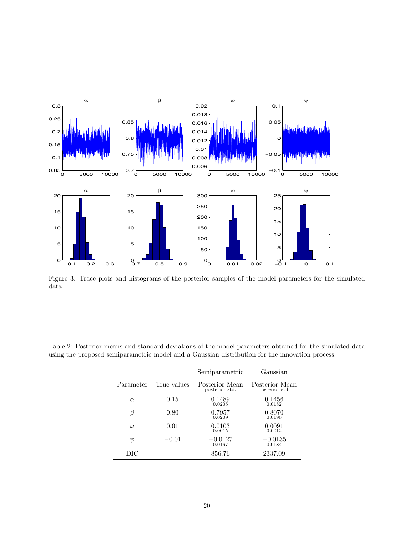

Figure 3: Trace plots and histograms of the posterior samples of the model parameters for the simulated data.

|           |             | Semiparametric                   | Gaussian                         |
|-----------|-------------|----------------------------------|----------------------------------|
| Parameter | True values | Posterior Mean<br>posterior std. | Posterior Mean<br>posterior std. |
| $\alpha$  | 0.15        | 0.1489<br>0.0205                 | 0.1456<br>0.0182                 |
| ß         | 0.80        | 0.7957<br>0.0209                 | 0.8070<br>0.0190                 |
| $\omega$  | 0.01        | 0.0103<br>0.0015                 | 0.0091<br>0.0012                 |
| $\psi$    | $-0.01$     | $-0.0127$<br>0.0167              | $-0.0135$<br>0.0184              |
| DIC       |             | 856.76                           | 2337.09                          |

Table 2: Posterior means and standard deviations of the model parameters obtained for the simulated data using the proposed semiparametric model and a Gaussian distribution for the innovation process.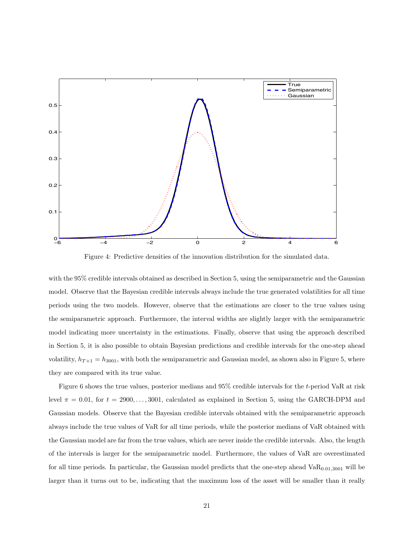

Figure 4: Predictive densities of the innovation distribution for the simulated data.

with the 95% credible intervals obtained as described in Section 5, using the semiparametric and the Gaussian model. Observe that the Bayesian credible intervals always include the true generated volatilities for all time periods using the two models. However, observe that the estimations are closer to the true values using the semiparametric approach. Furthermore, the interval widths are slightly larger with the semiparametric model indicating more uncertainty in the estimations. Finally, observe that using the approach described in Section 5, it is also possible to obtain Bayesian predictions and credible intervals for the one-step ahead volatility,  $h_{T+1} = h_{3001}$ , with both the semiparametric and Gaussian model, as shown also in Figure 5, where they are compared with its true value.

Figure 6 shows the true values, posterior medians and 95% credible intervals for the t-period VaR at risk level  $\pi = 0.01$ , for  $t = 2900, \ldots, 3001$ , calculated as explained in Section 5, using the GARCH-DPM and Gaussian models. Observe that the Bayesian credible intervals obtained with the semiparametric approach always include the true values of VaR for all time periods, while the posterior medians of VaR obtained with the Gaussian model are far from the true values, which are never inside the credible intervals. Also, the length of the intervals is larger for the semiparametric model. Furthermore, the values of VaR are overestimated for all time periods. In particular, the Gaussian model predicts that the one-step ahead  $VaR<sub>0.01,3001</sub>$  will be larger than it turns out to be, indicating that the maximum loss of the asset will be smaller than it really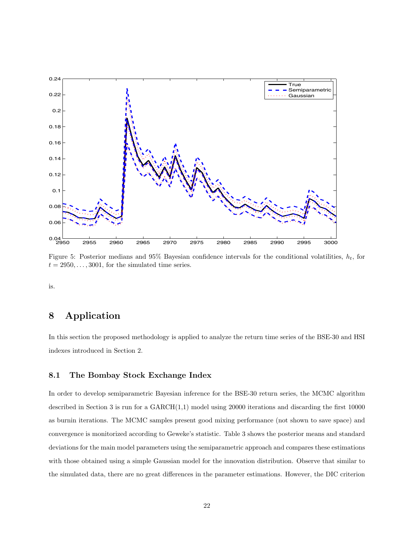

Figure 5: Posterior medians and 95% Bayesian confidence intervals for the conditional volatilities,  $h_t$ , for  $t = 2950, \ldots, 3001$ , for the simulated time series.

is.

#### 8 Application

In this section the proposed methodology is applied to analyze the return time series of the BSE-30 and HSI indexes introduced in Section 2.

#### 8.1 The Bombay Stock Exchange Index

In order to develop semiparametric Bayesian inference for the BSE-30 return series, the MCMC algorithm described in Section 3 is run for a GARCH(1,1) model using 20000 iterations and discarding the first 10000 as burnin iterations. The MCMC samples present good mixing performance (not shown to save space) and convergence is monitorized according to Geweke's statistic. Table 3 shows the posterior means and standard deviations for the main model parameters using the semiparametric approach and compares these estimations with those obtained using a simple Gaussian model for the innovation distribution. Observe that similar to the simulated data, there are no great differences in the parameter estimations. However, the DIC criterion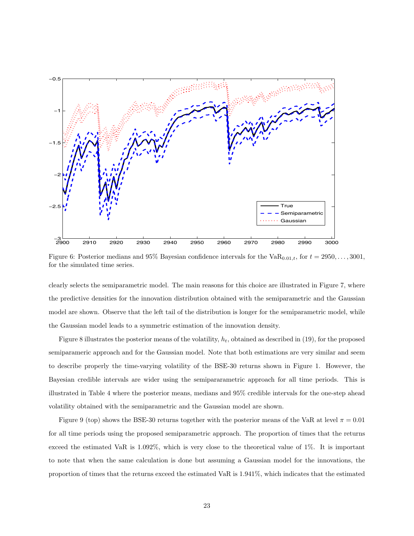

Figure 6: Posterior medians and 95% Bayesian confidence intervals for the  $VaR_{0.01,t}$ , for  $t = 2950, \ldots, 3001$ , for the simulated time series.

clearly selects the semiparametric model. The main reasons for this choice are illustrated in Figure 7, where the predictive densities for the innovation distribution obtained with the semiparametric and the Gaussian model are shown. Observe that the left tail of the distribution is longer for the semiparametric model, while the Gaussian model leads to a symmetric estimation of the innovation density.

Figure 8 illustrates the posterior means of the volatility,  $h_t$ , obtained as described in (19), for the proposed semiparameric approach and for the Gaussian model. Note that both estimations are very similar and seem to describe properly the time-varying volatility of the BSE-30 returns shown in Figure 1. However, the Bayesian credible intervals are wider using the semipararametric approach for all time periods. This is illustrated in Table 4 where the posterior means, medians and 95% credible intervals for the one-step ahead volatility obtained with the semiparametric and the Gaussian model are shown.

Figure 9 (top) shows the BSE-30 returns together with the posterior means of the VaR at level  $\pi = 0.01$ for all time periods using the proposed semiparametric approach. The proportion of times that the returns exceed the estimated VaR is 1.092%, which is very close to the theoretical value of 1%. It is important to note that when the same calculation is done but assuming a Gaussian model for the innovations, the proportion of times that the returns exceed the estimated VaR is 1.941%, which indicates that the estimated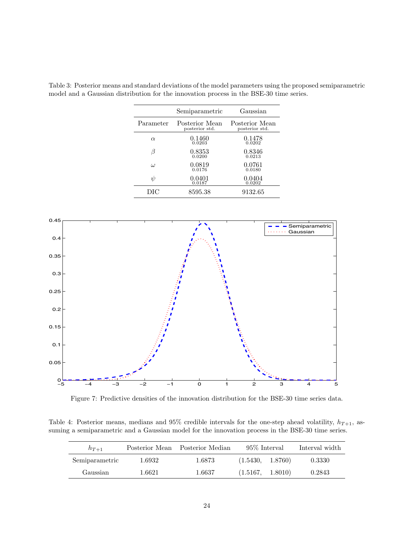|           | Semiparametric                   | Gaussian                         |
|-----------|----------------------------------|----------------------------------|
| Parameter | Posterior Mean<br>posterior std. | Posterior Mean<br>posterior std. |
| $\alpha$  | 0.1460<br>0.0203                 | 0.1478<br>0.0202                 |
| В         | 0.8353<br>0.0200                 | 0.8346<br>0.0213                 |
| $\omega$  | 0.0819<br>0.0176                 | 0.0761<br>0.0180                 |
| ψ         | 0.0401<br>0.0187                 | 0.0404<br>0.0202                 |
| DІC       | 8595.38                          | 9132.65                          |

Table 3: Posterior means and standard deviations of the model parameters using the proposed semiparametric model and a Gaussian distribution for the innovation process in the BSE-30 time series.



Figure 7: Predictive densities of the innovation distribution for the BSE-30 time series data.

Table 4: Posterior means, medians and 95% credible intervals for the one-step ahead volatility,  $h_{T+1}$ , assuming a semiparametric and a Gaussian model for the innovation process in the BSE-30 time series.

| $h_{T+1}$      |        | Posterior Mean Posterior Median | 95\% Interval    | Interval width |
|----------------|--------|---------------------------------|------------------|----------------|
| Semiparametric | 1.6932 | 1.6873                          | (1.5430, 1.8760) | 0.3330         |
| Gaussian       | 1.6621 | 1.6637                          | (1.5167, 1.8010) | 0.2843         |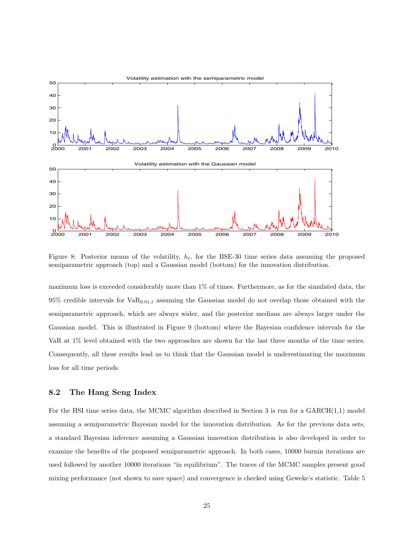

Figure 8: Posterior means of the volatility,  $h_t$ , for the BSE-30 time series data assuming the proposed semiparametric approach (top) and a Gaussian model (bottom) for the innovation distribution.

maximum loss is exceeded considerably more than 1% of times. Furthermore, as for the simulated data, the  $95\%$  credible intervals for  $VaR_{0.01,t}$  assuming the Gaussian model do not overlap those obtained with the semiparametric approach, which are always wider, and the posterior medians are always larger under the Gaussian model. This is illustrated in Figure 9 (bottom) where the Bayesian confidence intervals for the VaR at 1% level obtained with the two approaches are shown for the last three months of the time series. Consequently, all these results lead us to think that the Gaussian model is underestimating the maximum loss for all time periods.

#### 8.2 The Hang Seng Index

For the HSI time series data, the MCMC algorithm described in Section 3 is run for a  $GARCH(1,1)$  model assuming a semiparametric Bayesian model for the innovation distribution. As for the previous data sets, a standard Bayesian inference assuming a Gaussian innovation distribution is also developed in order to examine the benefits of the proposed semiparametric approach. In both cases, 10000 burnin iterations are used followed by another 10000 iterations "in equilibrium". The traces of the MCMC samples present good mixing performance (not shown to save space) and convergence is checked using Geweke's statistic. Table 5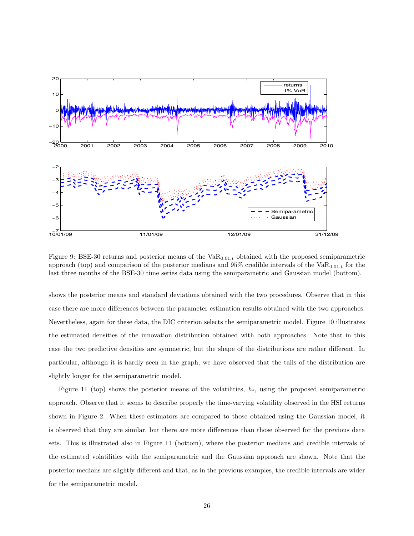

Figure 9: BSE-30 returns and posterior means of the  $VaR_{0.01,t}$  obtained with the proposed semiparametric approach (top) and comparison of the posterior medians and  $95\%$  credible intervals of the VaR<sub>0.01,t</sub> for the last three months of the BSE-30 time series data using the semiparametric and Gaussian model (bottom).

shows the posterior means and standard deviations obtained with the two procedures. Observe that in this case there are more differences between the parameter estimation results obtained with the two approaches. Nevertheless, again for these data, the DIC criterion selects the semiparametric model. Figure 10 illustrates the estimated densities of the innovation distribution obtained with both approaches. Note that in this case the two predictive densities are symmetric, but the shape of the distributions are rather different. In particular, although it is hardly seen in the graph, we have observed that the tails of the distribution are slightly longer for the semiparametric model.

Figure 11 (top) shows the posterior means of the volatilities,  $h_t$ , using the proposed semiparametric approach. Observe that it seems to describe properly the time-varying volatility observed in the HSI returns shown in Figure 2. When these estimators are compared to those obtained using the Gaussian model, it is observed that they are similar, but there are more differences than those observed for the previous data sets. This is illustrated also in Figure 11 (bottom), where the posterior medians and credible intervals of the estimated volatilities with the semiparametric and the Gaussian approach are shown. Note that the posterior medians are slightly different and that, as in the previous examples, the credible intervals are wider for the semiparametric model.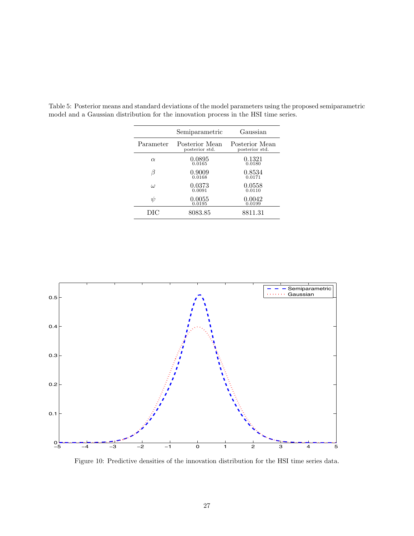|           | Semiparametric                   | Gaussian                         |
|-----------|----------------------------------|----------------------------------|
| Parameter | Posterior Mean<br>posterior std. | Posterior Mean<br>posterior std. |
| $\alpha$  | 0.0895<br>0.0165                 | 0.1321<br>0.0180                 |
| ß         | 0.9009<br>0.0168                 | 0.8534<br>0.0171                 |
| $\iota$   | 0.0373<br>0.0091                 | 0.0558<br>0.0110                 |
| ψ         | 0.0055<br>0.0195                 | 0.0042<br>0.0199                 |
| DIC       | 8083.85                          | 8811.31                          |

Table 5: Posterior means and standard deviations of the model parameters using the proposed semiparametric model and a Gaussian distribution for the innovation process in the HSI time series.



Figure 10: Predictive densities of the innovation distribution for the HSI time series data.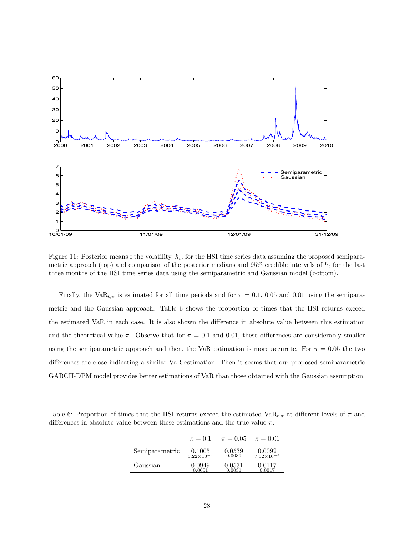

Figure 11: Posterior means f the volatility,  $h_t$ , for the HSI time series data assuming the proposed semiparametric approach (top) and comparison of the posterior medians and 95% credible intervals of  $h_t$  for the last three months of the HSI time series data using the semiparametric and Gaussian model (bottom).

Finally, the VaR<sub>t,π</sub> is estimated for all time periods and for  $\pi = 0.1$ , 0.05 and 0.01 using the semiparametric and the Gaussian approach. Table 6 shows the proportion of times that the HSI returns exceed the estimated VaR in each case. It is also shown the difference in absolute value between this estimation and the theoretical value  $\pi$ . Observe that for  $\pi = 0.1$  and 0.01, these differences are considerably smaller using the semiparametric approach and then, the VaR estimation is more accurate. For  $\pi = 0.05$  the two differences are close indicating a similar VaR estimation. Then it seems that our proposed semiparametric GARCH-DPM model provides better estimations of VaR than those obtained with the Gaussian assumption.

Table 6: Proportion of times that the HSI returns exceed the estimated  $VaR_{t,\pi}$  at different levels of  $\pi$  and differences in absolute value between these estimations and the true value  $\pi$ .

|                | $\pi = 0.1$           | $\pi = 0.05$ | $\pi = 0.01$          |
|----------------|-----------------------|--------------|-----------------------|
| Semiparametric | 0.1005                | 0.0539       | 0.0092                |
|                | $5.22 \times 10^{-4}$ | 0.0039       | $7.52 \times 10^{-4}$ |
| Gaussian       | 0.0949                | 0.0531       | 0.0117                |
|                | 0.0051                | 0.0031       | 0.0017                |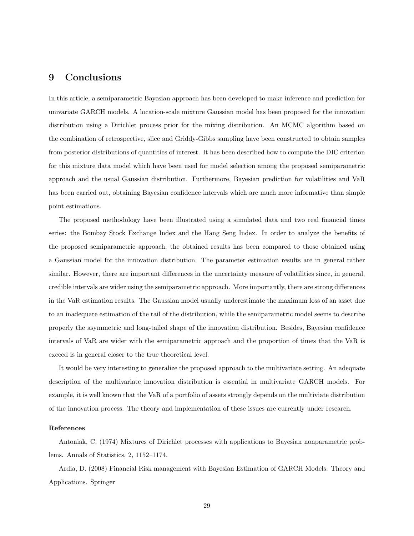#### 9 Conclusions

In this article, a semiparametric Bayesian approach has been developed to make inference and prediction for univariate GARCH models. A location-scale mixture Gaussian model has been proposed for the innovation distribution using a Dirichlet process prior for the mixing distribution. An MCMC algorithm based on the combination of retrospective, slice and Griddy-Gibbs sampling have been constructed to obtain samples from posterior distributions of quantities of interest. It has been described how to compute the DIC criterion for this mixture data model which have been used for model selection among the proposed semiparametric approach and the usual Gaussian distribution. Furthermore, Bayesian prediction for volatilities and VaR has been carried out, obtaining Bayesian confidence intervals which are much more informative than simple point estimations.

The proposed methodology have been illustrated using a simulated data and two real financial times series: the Bombay Stock Exchange Index and the Hang Seng Index. In order to analyze the benefits of the proposed semiparametric approach, the obtained results has been compared to those obtained using a Gaussian model for the innovation distribution. The parameter estimation results are in general rather similar. However, there are important differences in the uncertainty measure of volatilities since, in general, credible intervals are wider using the semiparametric approach. More importantly, there are strong differences in the VaR estimation results. The Gaussian model usually underestimate the maximum loss of an asset due to an inadequate estimation of the tail of the distribution, while the semiparametric model seems to describe properly the asymmetric and long-tailed shape of the innovation distribution. Besides, Bayesian confidence intervals of VaR are wider with the semiparametric approach and the proportion of times that the VaR is exceed is in general closer to the true theoretical level.

It would be very interesting to generalize the proposed approach to the multivariate setting. An adequate description of the multivariate innovation distribution is essential in multivariate GARCH models. For example, it is well known that the VaR of a portfolio of assets strongly depends on the multiviate distribution of the innovation process. The theory and implementation of these issues are currently under research.

#### References

Antoniak, C. (1974) Mixtures of Dirichlet processes with applications to Bayesian nonparametric problems. Annals of Statistics, 2, 1152–1174.

Ardia, D. (2008) Financial Risk management with Bayesian Estimation of GARCH Models: Theory and Applications. Springer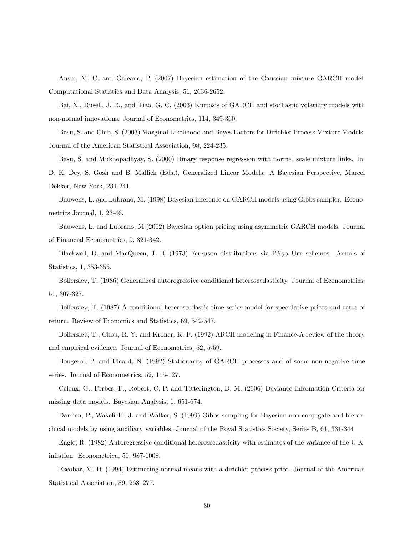Ausin, M. C. and Galeano, P. (2007) Bayesian estimation of the Gaussian mixture GARCH model. Computational Statistics and Data Analysis, 51, 2636-2652.

Bai, X., Rusell, J. R., and Tiao, G. C. (2003) Kurtosis of GARCH and stochastic volatility models with non-normal innovations. Journal of Econometrics, 114, 349-360.

Basu, S. and Chib, S. (2003) Marginal Likelihood and Bayes Factors for Dirichlet Process Mixture Models. Journal of the American Statistical Association, 98, 224-235.

Basu, S. and Mukhopadhyay, S. (2000) Binary response regression with normal scale mixture links. In: D. K. Dey, S. Gosh and B. Mallick (Eds.), Generalized Linear Models: A Bayesian Perspective, Marcel Dekker, New York, 231-241.

Bauwens, L. and Lubrano, M. (1998) Bayesian inference on GARCH models using Gibbs sampler. Econometrics Journal, 1, 23-46.

Bauwens, L. and Lubrano, M.(2002) Bayesian option pricing using asymmetric GARCH models. Journal of Financial Econometrics, 9, 321-342.

Blackwell, D. and MacQueen, J. B. (1973) Ferguson distributions via Pólya Urn schemes. Annals of Statistics, 1, 353-355.

Bollerslev, T. (1986) Generalized autoregressive conditional heteroscedasticity. Journal of Econometrics, 51, 307-327.

Bollerslev, T. (1987) A conditional heteroscedastic time series model for speculative prices and rates of return. Review of Economics and Statistics, 69, 542-547.

Bollerslev, T., Chou, R. Y. and Kroner, K. F. (1992) ARCH modeling in Finance-A review of the theory and empirical evidence. Journal of Econometrics, 52, 5-59.

Bougerol, P. and Picard, N. (1992) Stationarity of GARCH processes and of some non-negative time series. Journal of Econometrics, 52, 115-127.

Celeux, G., Forbes, F., Robert, C. P. and Titterington, D. M. (2006) Deviance Information Criteria for missing data models. Bayesian Analysis, 1, 651-674.

Damien, P., Wakefield, J. and Walker, S. (1999) Gibbs sampling for Bayesian non-conjugate and hierarchical models by using auxiliary variables. Journal of the Royal Statistics Society, Series B, 61, 331-344

Engle, R. (1982) Autoregressive conditional heteroscedasticity with estimates of the variance of the U.K. inflation. Econometrica, 50, 987-1008.

Escobar, M. D. (1994) Estimating normal means with a dirichlet process prior. Journal of the American Statistical Association, 89, 268–277.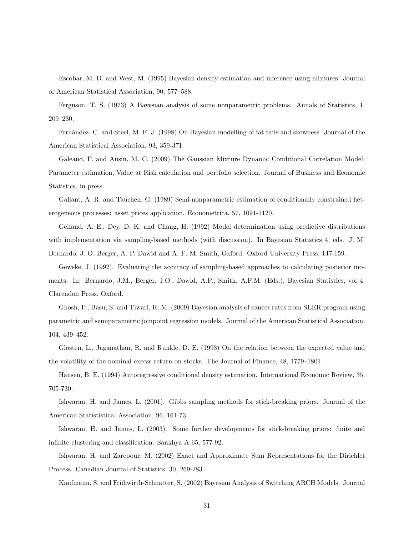Escobar, M. D. and West, M. (1995) Bayesian density estimation and inference using mixtures. Journal of American Statistical Association, 90, 577–588.

Ferguson, T. S. (1973) A Bayesian analysis of some nonparametric problems. Annals of Statistics, 1, 209–230.

Fern´andez, C. and Steel, M. F. J. (1998) On Bayesian modelling of fat tails and skewness. Journal of the American Statistical Association, 93, 359-371.

Galeano, P. and Ausin, M. C. (2009) The Gaussian Mixture Dynamic Conditional Correlation Model: Parameter estimation, Value at Risk calculation and portfolio selection. Journal of Business and Economic Statistics, in press.

Gallant, A. R. and Tauchen, G. (1989) Semi-nonparametric estimation of conditionally constrained heterogeneous processes: asset prices application. Econometrica, 57, 1091-1120.

Gelfand, A. E., Dey, D. K. and Chang, H. (1992) Model determination using predictive distributions with implementation via sampling-based methods (with discussion). In Bayesian Statistics 4, eds. J. M. Bernardo, J. O. Berger, A. P. Dawid and A. F. M. Smith, Oxford: Oxford University Press, 147-159.

Geweke, J. (1992). Evaluating the accuracy of sampling-based approaches to calculating posterior moments. In: Bernardo, J.M., Berger, J.O., Dawid, A.P., Smith, A.F.M. (Eds.), Bayesian Statistics, vol 4. Clarendon Press, Oxford.

Ghosh, P., Basu, S. and Tiwari, R. M. (2009) Bayesian analysis of cancer rates from SEER program using parametric and semiparametric joinpoint regression models. Journal of the American Statistical Association, 104, 439–452.

Glosten, L., Jaganathan, R. and Runkle, D. E. (1993) On the relation between the expected value and the volatility of the nominal excess return on stocks. The Journal of Finance, 48, 1779–1801.

Hansen, B. E. (1994) Autoregressive conditional density estimation. International Economic Review, 35, 705-730.

Ishwaran, H. and James, L. (2001). Gibbs sampling methods for stick-breaking priors. Journal of the American Statististical Association, 96, 161-73.

Ishwaran, H. and James, L. (2003). Some further developments for stick-breaking priors: finite and infinite clustering and classification. Sankhya A 65, 577-92.

Ishwaran, H. and Zarepour, M. (2002) Exact and Approximate Sum Representations for the Dirichlet Process. Canadian Journal of Statistics, 30, 269-283.

Kaufmann, S. and Frühwirth-Schnatter, S. (2002) Bayesian Analysis of Switching ARCH Models. Journal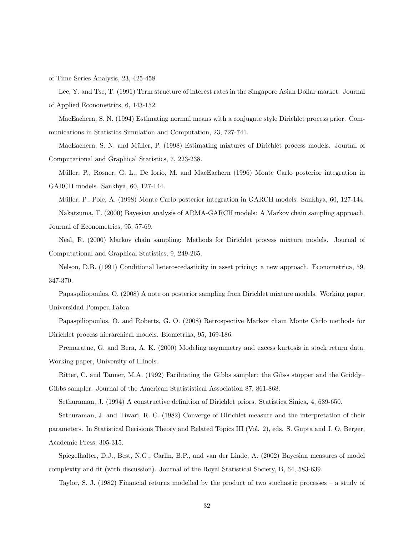of Time Series Analysis, 23, 425-458.

Lee, Y. and Tse, T. (1991) Term structure of interest rates in the Singapore Asian Dollar market. Journal of Applied Econometrics, 6, 143-152.

MacEachern, S. N. (1994) Estimating normal means with a conjugate style Dirichlet process prior. Communications in Statistics Simulation and Computation, 23, 727-741.

MacEachern, S. N. and Müller, P. (1998) Estimating mixtures of Dirichlet process models. Journal of Computational and Graphical Statistics, 7, 223-238.

Müller, P., Rosner, G. L., De Iorio, M. and MacEachern (1996) Monte Carlo posterior integration in GARCH models. Sankhya, 60, 127-144.

Müller, P., Pole, A. (1998) Monte Carlo posterior integration in GARCH models. Sankhya, 60, 127-144. Nakatsuma, T. (2000) Bayesian analysis of ARMA-GARCH models: A Markov chain sampling approach. Journal of Econometrics, 95, 57-69.

Neal, R. (2000) Markov chain sampling: Methods for Dirichlet process mixture models. Journal of Computational and Graphical Statistics, 9, 249-265.

Nelson, D.B. (1991) Conditional heteroscedasticity in asset pricing: a new approach. Econometrica, 59, 347-370.

Papaspiliopoulos, O. (2008) A note on posterior sampling from Dirichlet mixture models. Working paper, Universidad Pompeu Fabra.

Papaspiliopoulos, O. and Roberts, G. O. (2008) Retrospective Markov chain Monte Carlo methods for Dirichlet process hierarchical models. Biometrika, 95, 169-186.

Premaratne, G. and Bera, A. K. (2000) Modeling asymmetry and excess kurtosis in stock return data. Working paper, University of Illinois.

Ritter, C. and Tanner, M.A. (1992) Facilitating the Gibbs sampler: the Gibss stopper and the Griddy– Gibbs sampler. Journal of the American Statististical Association 87, 861-868.

Sethuraman, J. (1994) A constructive definition of Dirichlet priors. Statistica Sinica, 4, 639-650.

Sethuraman, J. and Tiwari, R. C. (1982) Converge of Dirichlet measure and the interpretation of their parameters. In Statistical Decisions Theory and Related Topics III (Vol. 2), eds. S. Gupta and J. O. Berger, Academic Press, 305-315.

Spiegelhalter, D.J., Best, N.G., Carlin, B.P., and van der Linde, A. (2002) Bayesian measures of model complexity and fit (with discussion). Journal of the Royal Statistical Society, B, 64, 583-639.

Taylor, S. J. (1982) Financial returns modelled by the product of two stochastic processes – a study of